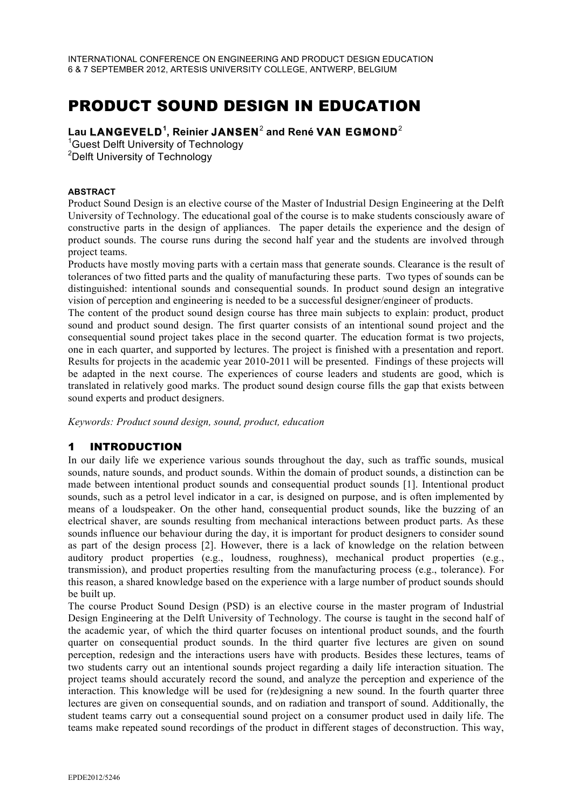## PRODUCT SOUND DESIGN IN EDUCATION

# **Lau LANGEVELD<sup>1</sup> , Reinier JANSEN**<sup>2</sup> **and René VAN EGMOND**<sup>2</sup><sup>1</sup>

<sup>1</sup>Guest Delft University of Technology <sup>2</sup>Delft University of Technology

#### **ABSTRACT**

Product Sound Design is an elective course of the Master of Industrial Design Engineering at the Delft University of Technology. The educational goal of the course is to make students consciously aware of constructive parts in the design of appliances. The paper details the experience and the design of product sounds. The course runs during the second half year and the students are involved through project teams.

Products have mostly moving parts with a certain mass that generate sounds. Clearance is the result of tolerances of two fitted parts and the quality of manufacturing these parts. Two types of sounds can be distinguished: intentional sounds and consequential sounds. In product sound design an integrative vision of perception and engineering is needed to be a successful designer/engineer of products.

The content of the product sound design course has three main subjects to explain: product, product sound and product sound design. The first quarter consists of an intentional sound project and the consequential sound project takes place in the second quarter. The education format is two projects, one in each quarter, and supported by lectures. The project is finished with a presentation and report. Results for projects in the academic year 2010-2011 will be presented. Findings of these projects will be adapted in the next course. The experiences of course leaders and students are good, which is translated in relatively good marks. The product sound design course fills the gap that exists between sound experts and product designers.

*Keywords: Product sound design, sound, product, education* 

### 1 INTRODUCTION

In our daily life we experience various sounds throughout the day, such as traffic sounds, musical sounds, nature sounds, and product sounds. Within the domain of product sounds, a distinction can be made between intentional product sounds and consequential product sounds [1]. Intentional product sounds, such as a petrol level indicator in a car, is designed on purpose, and is often implemented by means of a loudspeaker. On the other hand, consequential product sounds, like the buzzing of an electrical shaver, are sounds resulting from mechanical interactions between product parts. As these sounds influence our behaviour during the day, it is important for product designers to consider sound as part of the design process [2]. However, there is a lack of knowledge on the relation between auditory product properties (e.g., loudness, roughness), mechanical product properties (e.g., transmission), and product properties resulting from the manufacturing process (e.g., tolerance). For this reason, a shared knowledge based on the experience with a large number of product sounds should be built up.

The course Product Sound Design (PSD) is an elective course in the master program of Industrial Design Engineering at the Delft University of Technology. The course is taught in the second half of the academic year, of which the third quarter focuses on intentional product sounds, and the fourth quarter on consequential product sounds. In the third quarter five lectures are given on sound perception, redesign and the interactions users have with products. Besides these lectures, teams of two students carry out an intentional sounds project regarding a daily life interaction situation. The project teams should accurately record the sound, and analyze the perception and experience of the interaction. This knowledge will be used for (re)designing a new sound. In the fourth quarter three lectures are given on consequential sounds, and on radiation and transport of sound. Additionally, the student teams carry out a consequential sound project on a consumer product used in daily life. The teams make repeated sound recordings of the product in different stages of deconstruction. This way,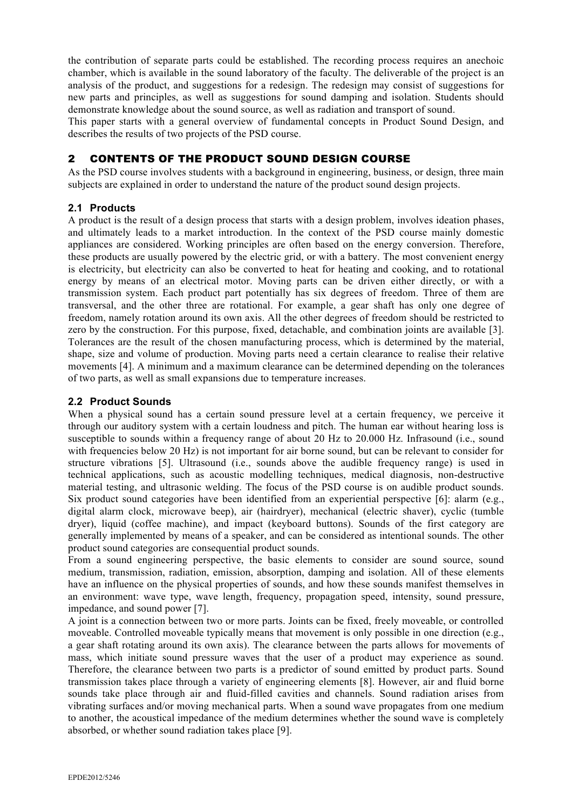the contribution of separate parts could be established. The recording process requires an anechoic chamber, which is available in the sound laboratory of the faculty. The deliverable of the project is an analysis of the product, and suggestions for a redesign. The redesign may consist of suggestions for new parts and principles, as well as suggestions for sound damping and isolation. Students should demonstrate knowledge about the sound source, as well as radiation and transport of sound.

This paper starts with a general overview of fundamental concepts in Product Sound Design, and describes the results of two projects of the PSD course.

#### 2 CONTENTS OF THE PRODUCT SOUND DESIGN COURSE

As the PSD course involves students with a background in engineering, business, or design, three main subjects are explained in order to understand the nature of the product sound design projects.

#### **2.1 Products**

A product is the result of a design process that starts with a design problem, involves ideation phases, and ultimately leads to a market introduction. In the context of the PSD course mainly domestic appliances are considered. Working principles are often based on the energy conversion. Therefore, these products are usually powered by the electric grid, or with a battery. The most convenient energy is electricity, but electricity can also be converted to heat for heating and cooking, and to rotational energy by means of an electrical motor. Moving parts can be driven either directly, or with a transmission system. Each product part potentially has six degrees of freedom. Three of them are transversal, and the other three are rotational. For example, a gear shaft has only one degree of freedom, namely rotation around its own axis. All the other degrees of freedom should be restricted to zero by the construction. For this purpose, fixed, detachable, and combination joints are available [3]. Tolerances are the result of the chosen manufacturing process, which is determined by the material, shape, size and volume of production. Moving parts need a certain clearance to realise their relative movements [4]. A minimum and a maximum clearance can be determined depending on the tolerances of two parts, as well as small expansions due to temperature increases.

#### **2.2 Product Sounds**

When a physical sound has a certain sound pressure level at a certain frequency, we perceive it through our auditory system with a certain loudness and pitch. The human ear without hearing loss is susceptible to sounds within a frequency range of about 20 Hz to 20.000 Hz. Infrasound (i.e., sound with frequencies below 20 Hz) is not important for air borne sound, but can be relevant to consider for structure vibrations [5]. Ultrasound (i.e., sounds above the audible frequency range) is used in technical applications, such as acoustic modelling techniques, medical diagnosis, non-destructive material testing, and ultrasonic welding. The focus of the PSD course is on audible product sounds. Six product sound categories have been identified from an experiential perspective [6]: alarm (e.g., digital alarm clock, microwave beep), air (hairdryer), mechanical (electric shaver), cyclic (tumble dryer), liquid (coffee machine), and impact (keyboard buttons). Sounds of the first category are generally implemented by means of a speaker, and can be considered as intentional sounds. The other product sound categories are consequential product sounds.

From a sound engineering perspective, the basic elements to consider are sound source, sound medium, transmission, radiation, emission, absorption, damping and isolation. All of these elements have an influence on the physical properties of sounds, and how these sounds manifest themselves in an environment: wave type, wave length, frequency, propagation speed, intensity, sound pressure, impedance, and sound power [7].

A joint is a connection between two or more parts. Joints can be fixed, freely moveable, or controlled moveable. Controlled moveable typically means that movement is only possible in one direction (e.g., a gear shaft rotating around its own axis). The clearance between the parts allows for movements of mass, which initiate sound pressure waves that the user of a product may experience as sound. Therefore, the clearance between two parts is a predictor of sound emitted by product parts. Sound transmission takes place through a variety of engineering elements [8]. However, air and fluid borne sounds take place through air and fluid-filled cavities and channels. Sound radiation arises from vibrating surfaces and/or moving mechanical parts. When a sound wave propagates from one medium to another, the acoustical impedance of the medium determines whether the sound wave is completely absorbed, or whether sound radiation takes place [9].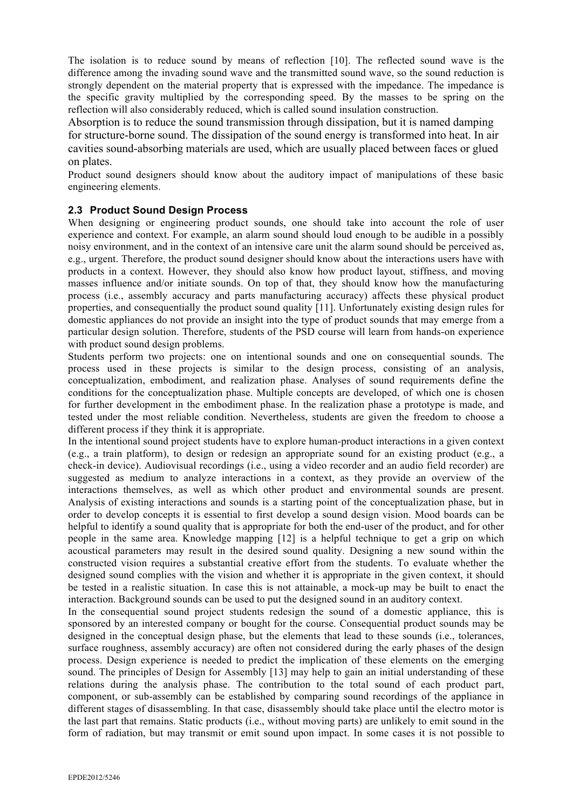The isolation is to reduce sound by means of reflection [10]. The reflected sound wave is the difference among the invading sound wave and the transmitted sound wave, so the sound reduction is strongly dependent on the material property that is expressed with the impedance. The impedance is the specific gravity multiplied by the corresponding speed. By the masses to be spring on the reflection will also considerably reduced, which is called sound insulation construction.

Absorption is to reduce the sound transmission through dissipation, but it is named damping for structure-borne sound. The dissipation of the sound energy is transformed into heat. In air cavities sound-absorbing materials are used, which are usually placed between faces or glued on plates.

Product sound designers should know about the auditory impact of manipulations of these basic engineering elements.

#### **2.3 Product Sound Design Process**

When designing or engineering product sounds, one should take into account the role of user experience and context. For example, an alarm sound should loud enough to be audible in a possibly noisy environment, and in the context of an intensive care unit the alarm sound should be perceived as, e.g., urgent. Therefore, the product sound designer should know about the interactions users have with products in a context. However, they should also know how product layout, stiffness, and moving masses influence and/or initiate sounds. On top of that, they should know how the manufacturing process (i.e., assembly accuracy and parts manufacturing accuracy) affects these physical product properties, and consequentially the product sound quality [11]. Unfortunately existing design rules for domestic appliances do not provide an insight into the type of product sounds that may emerge from a particular design solution. Therefore, students of the PSD course will learn from hands-on experience with product sound design problems.

Students perform two projects: one on intentional sounds and one on consequential sounds. The process used in these projects is similar to the design process, consisting of an analysis, conceptualization, embodiment, and realization phase. Analyses of sound requirements define the conditions for the conceptualization phase. Multiple concepts are developed, of which one is chosen for further development in the embodiment phase. In the realization phase a prototype is made, and tested under the most reliable condition. Nevertheless, students are given the freedom to choose a different process if they think it is appropriate.

In the intentional sound project students have to explore human-product interactions in a given context (e.g., a train platform), to design or redesign an appropriate sound for an existing product (e.g., a check-in device). Audiovisual recordings (i.e., using a video recorder and an audio field recorder) are suggested as medium to analyze interactions in a context, as they provide an overview of the interactions themselves, as well as which other product and environmental sounds are present. Analysis of existing interactions and sounds is a starting point of the conceptualization phase, but in order to develop concepts it is essential to first develop a sound design vision. Mood boards can be helpful to identify a sound quality that is appropriate for both the end-user of the product, and for other people in the same area. Knowledge mapping [12] is a helpful technique to get a grip on which acoustical parameters may result in the desired sound quality. Designing a new sound within the constructed vision requires a substantial creative effort from the students. To evaluate whether the designed sound complies with the vision and whether it is appropriate in the given context, it should be tested in a realistic situation. In case this is not attainable, a mock-up may be built to enact the interaction. Background sounds can be used to put the designed sound in an auditory context.

In the consequential sound project students redesign the sound of a domestic appliance, this is sponsored by an interested company or bought for the course. Consequential product sounds may be designed in the conceptual design phase, but the elements that lead to these sounds (i.e., tolerances, surface roughness, assembly accuracy) are often not considered during the early phases of the design process. Design experience is needed to predict the implication of these elements on the emerging sound. The principles of Design for Assembly [13] may help to gain an initial understanding of these relations during the analysis phase. The contribution to the total sound of each product part, component, or sub-assembly can be established by comparing sound recordings of the appliance in different stages of disassembling. In that case, disassembly should take place until the electro motor is the last part that remains. Static products (i.e., without moving parts) are unlikely to emit sound in the form of radiation, but may transmit or emit sound upon impact. In some cases it is not possible to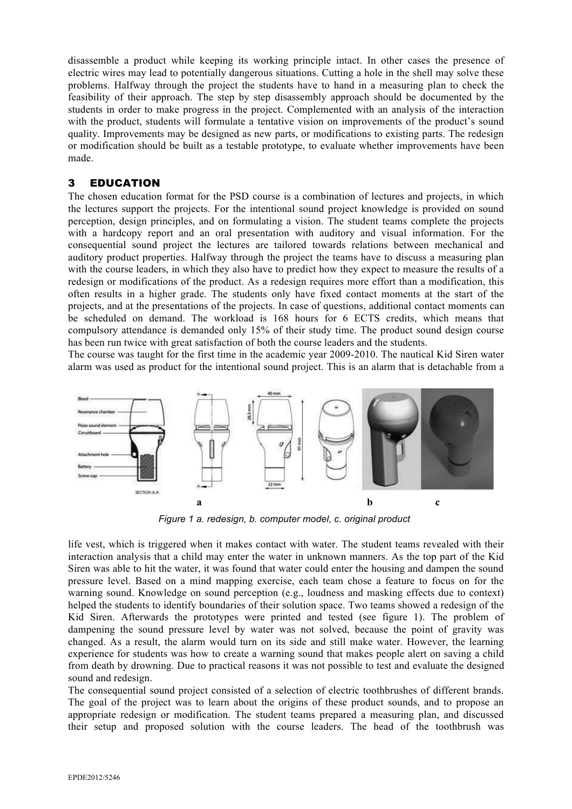disassemble a product while keeping its working principle intact. In other cases the presence of electric wires may lead to potentially dangerous situations. Cutting a hole in the shell may solve these problems. Halfway through the project the students have to hand in a measuring plan to check the feasibility of their approach. The step by step disassembly approach should be documented by the students in order to make progress in the project. Complemented with an analysis of the interaction with the product, students will formulate a tentative vision on improvements of the product's sound quality. Improvements may be designed as new parts, or modifications to existing parts. The redesign or modification should be built as a testable prototype, to evaluate whether improvements have been made.

#### 3 EDUCATION

The chosen education format for the PSD course is a combination of lectures and projects, in which the lectures support the projects. For the intentional sound project knowledge is provided on sound perception, design principles, and on formulating a vision. The student teams complete the projects with a hardcopy report and an oral presentation with auditory and visual information. For the consequential sound project the lectures are tailored towards relations between mechanical and auditory product properties. Halfway through the project the teams have to discuss a measuring plan with the course leaders, in which they also have to predict how they expect to measure the results of a redesign or modifications of the product. As a redesign requires more effort than a modification, this often results in a higher grade. The students only have fixed contact moments at the start of the projects, and at the presentations of the projects. In case of questions, additional contact moments can be scheduled on demand. The workload is 168 hours for 6 ECTS credits, which means that compulsory attendance is demanded only 15% of their study time. The product sound design course has been run twice with great satisfaction of both the course leaders and the students.

The course was taught for the first time in the academic year 2009-2010. The nautical Kid Siren water alarm was used as product for the intentional sound project. This is an alarm that is detachable from a



*Figure 1 a. redesign, b. computer model, c. original product*

life vest, which is triggered when it makes contact with water. The student teams revealed with their interaction analysis that a child may enter the water in unknown manners. As the top part of the Kid Siren was able to hit the water, it was found that water could enter the housing and dampen the sound pressure level. Based on a mind mapping exercise, each team chose a feature to focus on for the warning sound. Knowledge on sound perception (e.g., loudness and masking effects due to context) helped the students to identify boundaries of their solution space. Two teams showed a redesign of the Kid Siren. Afterwards the prototypes were printed and tested (see figure 1). The problem of dampening the sound pressure level by water was not solved, because the point of gravity was changed. As a result, the alarm would turn on its side and still make water. However, the learning experience for students was how to create a warning sound that makes people alert on saving a child from death by drowning. Due to practical reasons it was not possible to test and evaluate the designed sound and redesign.

The consequential sound project consisted of a selection of electric toothbrushes of different brands. The goal of the project was to learn about the origins of these product sounds, and to propose an appropriate redesign or modification. The student teams prepared a measuring plan, and discussed their setup and proposed solution with the course leaders. The head of the toothbrush was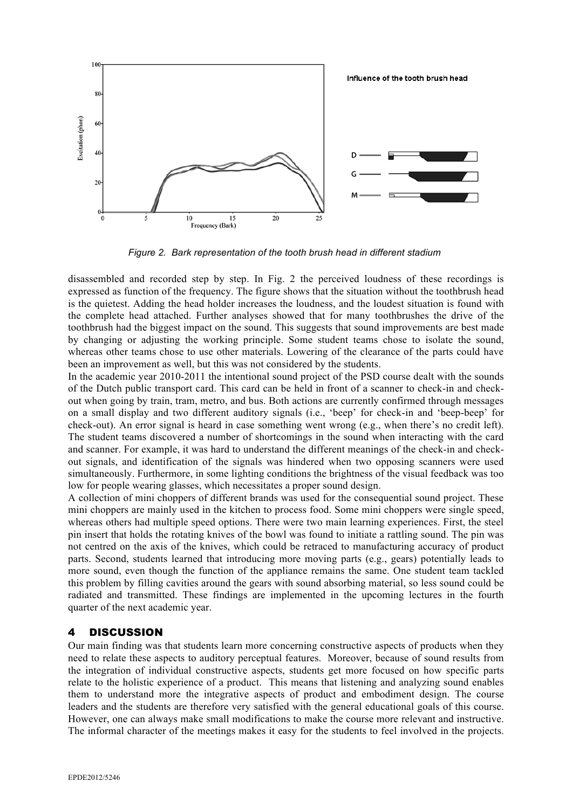

*Figure 2. Bark representation of the tooth brush head in different stadium*

disassembled and recorded step by step. In Fig. 2 the perceived loudness of these recordings is expressed as function of the frequency. The figure shows that the situation without the toothbrush head is the quietest. Adding the head holder increases the loudness, and the loudest situation is found with the complete head attached. Further analyses showed that for many toothbrushes the drive of the toothbrush had the biggest impact on the sound. This suggests that sound improvements are best made by changing or adjusting the working principle. Some student teams chose to isolate the sound, whereas other teams chose to use other materials. Lowering of the clearance of the parts could have been an improvement as well, but this was not considered by the students.

In the academic year 2010-2011 the intentional sound project of the PSD course dealt with the sounds of the Dutch public transport card. This card can be held in front of a scanner to check-in and checkout when going by train, tram, metro, and bus. Both actions are currently confirmed through messages on a small display and two different auditory signals (i.e., 'beep' for check-in and 'beep-beep' for check-out). An error signal is heard in case something went wrong (e.g., when there's no credit left). The student teams discovered a number of shortcomings in the sound when interacting with the card and scanner. For example, it was hard to understand the different meanings of the check-in and checkout signals, and identification of the signals was hindered when two opposing scanners were used simultaneously. Furthermore, in some lighting conditions the brightness of the visual feedback was too low for people wearing glasses, which necessitates a proper sound design.

A collection of mini choppers of different brands was used for the consequential sound project. These mini choppers are mainly used in the kitchen to process food. Some mini choppers were single speed, whereas others had multiple speed options. There were two main learning experiences. First, the steel pin insert that holds the rotating knives of the bowl was found to initiate a rattling sound. The pin was not centred on the axis of the knives, which could be retraced to manufacturing accuracy of product parts. Second, students learned that introducing more moving parts (e.g., gears) potentially leads to more sound, even though the function of the appliance remains the same. One student team tackled this problem by filling cavities around the gears with sound absorbing material, so less sound could be radiated and transmitted. These findings are implemented in the upcoming lectures in the fourth quarter of the next academic year.

#### 4 DISCUSSION

Our main finding was that students learn more concerning constructive aspects of products when they need to relate these aspects to auditory perceptual features. Moreover, because of sound results from the integration of individual constructive aspects, students get more focused on how specific parts relate to the holistic experience of a product. This means that listening and analyzing sound enables them to understand more the integrative aspects of product and embodiment design. The course leaders and the students are therefore very satisfied with the general educational goals of this course. However, one can always make small modifications to make the course more relevant and instructive. The informal character of the meetings makes it easy for the students to feel involved in the projects.